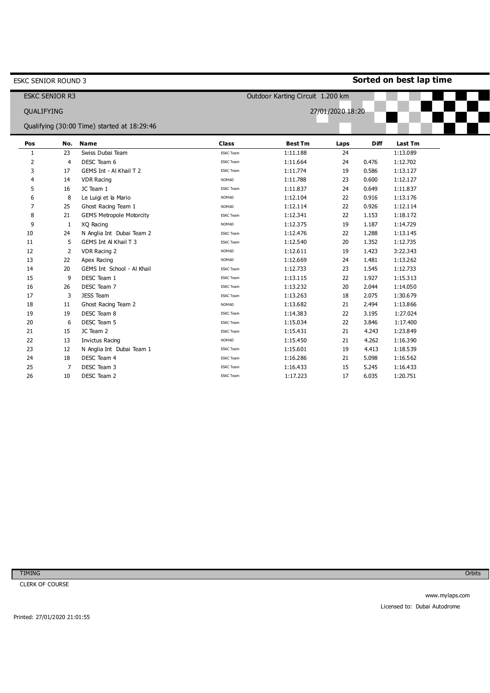| ESKC SENIOR ROUND 3   |                |                                             | Sorted on best lap time          |                |                  |             |                |  |
|-----------------------|----------------|---------------------------------------------|----------------------------------|----------------|------------------|-------------|----------------|--|
| <b>ESKC SENIOR R3</b> |                |                                             | Outdoor Karting Circuit 1.200 km |                |                  |             |                |  |
| QUALIFYING            |                |                                             |                                  |                | 27/01/2020 18:20 |             |                |  |
|                       |                | Qualifying (30:00 Time) started at 18:29:46 |                                  |                |                  |             |                |  |
|                       |                |                                             |                                  |                |                  |             |                |  |
| Pos                   | No.            | <b>Name</b>                                 | <b>Class</b>                     | <b>Best Tm</b> | Laps             | <b>Diff</b> | <b>Last Tm</b> |  |
| 1                     | 23             | Swiss Dubai Team                            | <b>ESKC Team</b>                 | 1:11.188       | 24               |             | 1:13.089       |  |
| 2                     | $\overline{4}$ | DESC Team 6                                 | <b>ESKC Team</b>                 | 1:11.664       | 24               | 0.476       | 1:12.702       |  |
| 3                     | 17             | GEMS Int - Al Khail T 2                     | <b>ESKC Team</b>                 | 1:11.774       | 19               | 0.586       | 1:13.127       |  |
| 4                     | 14             | <b>VDR Racing</b>                           | <b>NOMAD</b>                     | 1:11.788       | 23               | 0.600       | 1:12.127       |  |
| 5                     | 16             | JC Team 1                                   | <b>ESKC</b> Team                 | 1:11.837       | 24               | 0.649       | 1:11.837       |  |
| 6                     | 8              | Le Luigi et la Mario                        | <b>NOMAD</b>                     | 1:12.104       | 22               | 0.916       | 1:13.176       |  |
| 7                     | 25             | Ghost Racing Team 1                         | <b>NOMAD</b>                     | 1:12.114       | 22               | 0.926       | 1:12.114       |  |
| 8                     | 21             | <b>GEMS Metropole Motorcity</b>             | <b>ESKC</b> Team                 | 1:12.341       | 22               | 1.153       | 1:18.172       |  |
| 9                     | -1             | XQ Racing                                   | <b>NOMAD</b>                     | 1:12.375       | 19               | 1.187       | 1:14.729       |  |
| 10                    | 24             | N Anglia Int Dubai Team 2                   | <b>ESKC Team</b>                 | 1:12.476       | 22               | 1.288       | 1:13.145       |  |
| 11                    | 5              | GEMS Int Al Khail T 3                       | <b>ESKC Team</b>                 | 1:12.540       | 20               | 1.352       | 1:12.735       |  |
| 12                    | 2              | VDR Racing 2                                | <b>NOMAD</b>                     | 1:12.611       | 19               | 1.423       | 3:22.343       |  |
| 13                    | 22             | Apex Racing                                 | <b>NOMAD</b>                     | 1:12.669       | 24               | 1.481       | 1:13.262       |  |
| 14                    | 20             | GEMS Int School - Al Khail                  | <b>ESKC</b> Team                 | 1:12.733       | 23               | 1.545       | 1:12.733       |  |
| 15                    | 9              | DESC Team 1                                 | <b>ESKC</b> Team                 | 1:13.115       | 22               | 1.927       | 1:15.313       |  |
| 16                    | 26             | DESC Team 7                                 | <b>ESKC Team</b>                 | 1:13.232       | 20               | 2.044       | 1:14.050       |  |
| 17                    | 3              | JESS Team                                   | <b>ESKC Team</b>                 | 1:13.263       | 18               | 2.075       | 1:30.679       |  |
| 18                    | 11             | Ghost Racing Team 2                         | <b>NOMAD</b>                     | 1:13.682       | 21               | 2.494       | 1:13.866       |  |
| 19                    | 19             | DESC Team 8                                 | <b>ESKC Team</b>                 | 1:14.383       | 22               | 3.195       | 1:27.024       |  |
| 20                    | 6              | DESC Team 5                                 | <b>ESKC</b> Team                 | 1:15.034       | 22               | 3.846       | 1:17.400       |  |
| 21                    | 15             | JC Team 2                                   | <b>ESKC Team</b>                 | 1:15.431       | 21               | 4.243       | 1:23.849       |  |
| 22                    | 13             | Invictus Racing                             | <b>NOMAD</b>                     | 1:15.450       | 21               | 4.262       | 1:16.390       |  |
| 23                    | 12             | N Anglia Int Dubai Team 1                   | <b>ESKC Team</b>                 | 1:15.601       | 19               | 4.413       | 1:18.539       |  |
| 24                    | 18             | DESC Team 4                                 | <b>ESKC Team</b>                 | 1:16.286       | 21               | 5.098       | 1:16.562       |  |
| 25                    | 7              | DESC Team 3                                 | <b>ESKC Team</b>                 | 1:16.433       | 15               | 5.245       | 1:16.433       |  |
| 26                    | 10             | DESC Team 2                                 | <b>ESKC</b> Team                 | 1:17.223       | 17               | 6.035       | 1:20.751       |  |
|                       |                |                                             |                                  |                |                  |             |                |  |

CLERK OF COURSE

Orbits

Printed: 27/01/2020 21:01:55